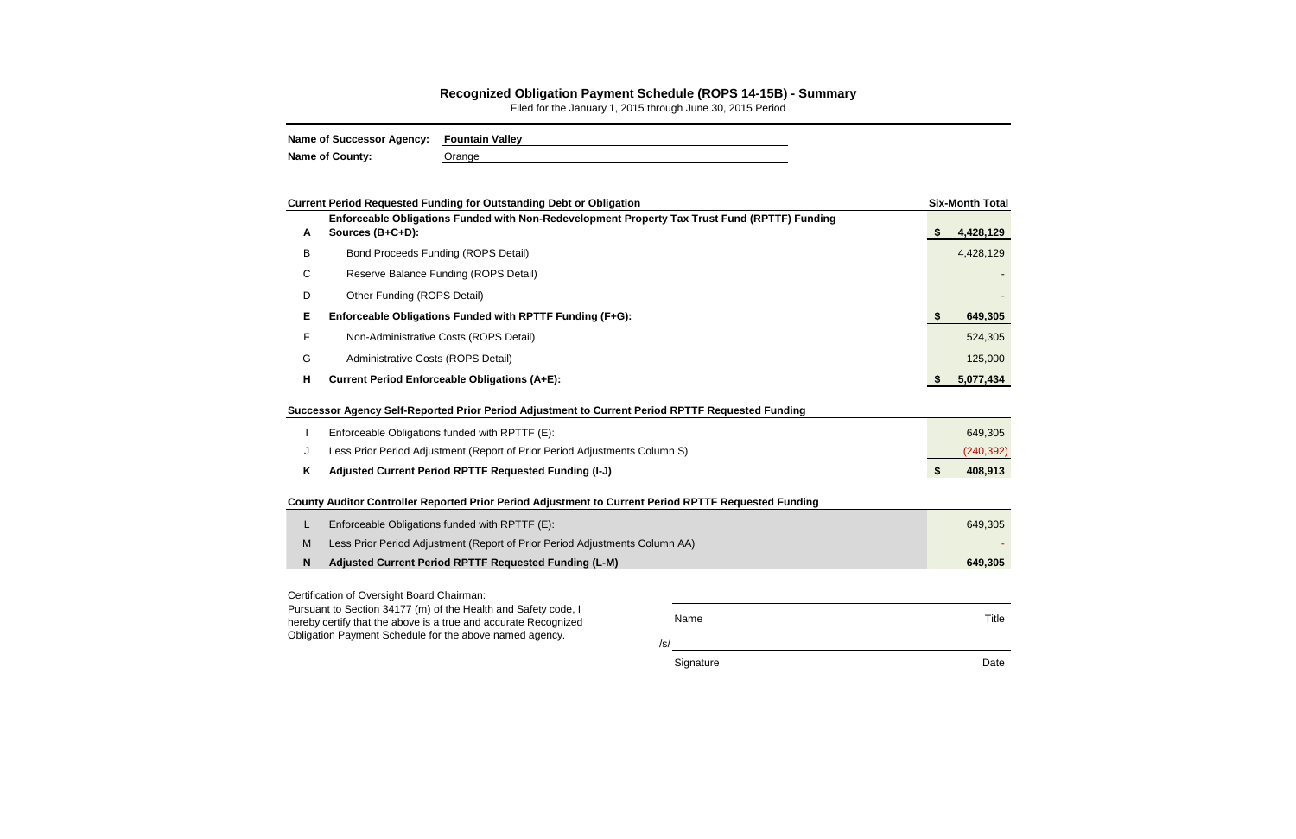## **Recognized Obligation Payment Schedule (ROPS 14-15B) - Summary**

Filed for the January 1, 2015 through June 30, 2015 Period

| Name of Successor Agency: Fountain Valley |        |
|-------------------------------------------|--------|
| <b>Name of County:</b>                    | Orange |

|             | <b>Current Period Requested Funding for Outstanding Debt or Obligation</b>                                                        |      |    | <b>Six-Month Total</b> |  |  |  |  |
|-------------|-----------------------------------------------------------------------------------------------------------------------------------|------|----|------------------------|--|--|--|--|
| A           | Enforceable Obligations Funded with Non-Redevelopment Property Tax Trust Fund (RPTTF) Funding<br>Sources (B+C+D):                 |      | \$ | 4,428,129              |  |  |  |  |
| B           | <b>Bond Proceeds Funding (ROPS Detail)</b>                                                                                        |      |    | 4,428,129              |  |  |  |  |
| C           | Reserve Balance Funding (ROPS Detail)                                                                                             |      |    |                        |  |  |  |  |
| D           | Other Funding (ROPS Detail)                                                                                                       |      |    |                        |  |  |  |  |
| Е           | Enforceable Obligations Funded with RPTTF Funding (F+G):                                                                          |      |    |                        |  |  |  |  |
| F           | Non-Administrative Costs (ROPS Detail)                                                                                            |      |    | 524,305                |  |  |  |  |
| G           | Administrative Costs (ROPS Detail)                                                                                                |      |    | 125,000                |  |  |  |  |
| H           | <b>Current Period Enforceable Obligations (A+E):</b>                                                                              |      |    |                        |  |  |  |  |
|             | Successor Agency Self-Reported Prior Period Adjustment to Current Period RPTTF Requested Funding                                  |      |    |                        |  |  |  |  |
|             | Enforceable Obligations funded with RPTTF (E):                                                                                    |      |    | 649,305                |  |  |  |  |
| J           | Less Prior Period Adjustment (Report of Prior Period Adjustments Column S)                                                        |      |    | (240, 392)             |  |  |  |  |
| Κ           | Adjusted Current Period RPTTF Requested Funding (I-J)                                                                             |      |    |                        |  |  |  |  |
|             | County Auditor Controller Reported Prior Period Adjustment to Current Period RPTTF Requested Funding                              |      |    |                        |  |  |  |  |
| L           | Enforceable Obligations funded with RPTTF (E):                                                                                    |      |    | 649,305                |  |  |  |  |
| M           | Less Prior Period Adjustment (Report of Prior Period Adjustments Column AA)                                                       |      |    |                        |  |  |  |  |
| $\mathbf N$ | Adjusted Current Period RPTTF Requested Funding (L-M)                                                                             |      |    |                        |  |  |  |  |
|             | Certification of Oversight Board Chairman:                                                                                        |      |    |                        |  |  |  |  |
|             | Pursuant to Section 34177 (m) of the Health and Safety code, I<br>hereby certify that the above is a true and accurate Recognized | Name |    | Title                  |  |  |  |  |
|             | Obligation Payment Schedule for the above named agency.                                                                           | /s/  |    |                        |  |  |  |  |

Signature **Date**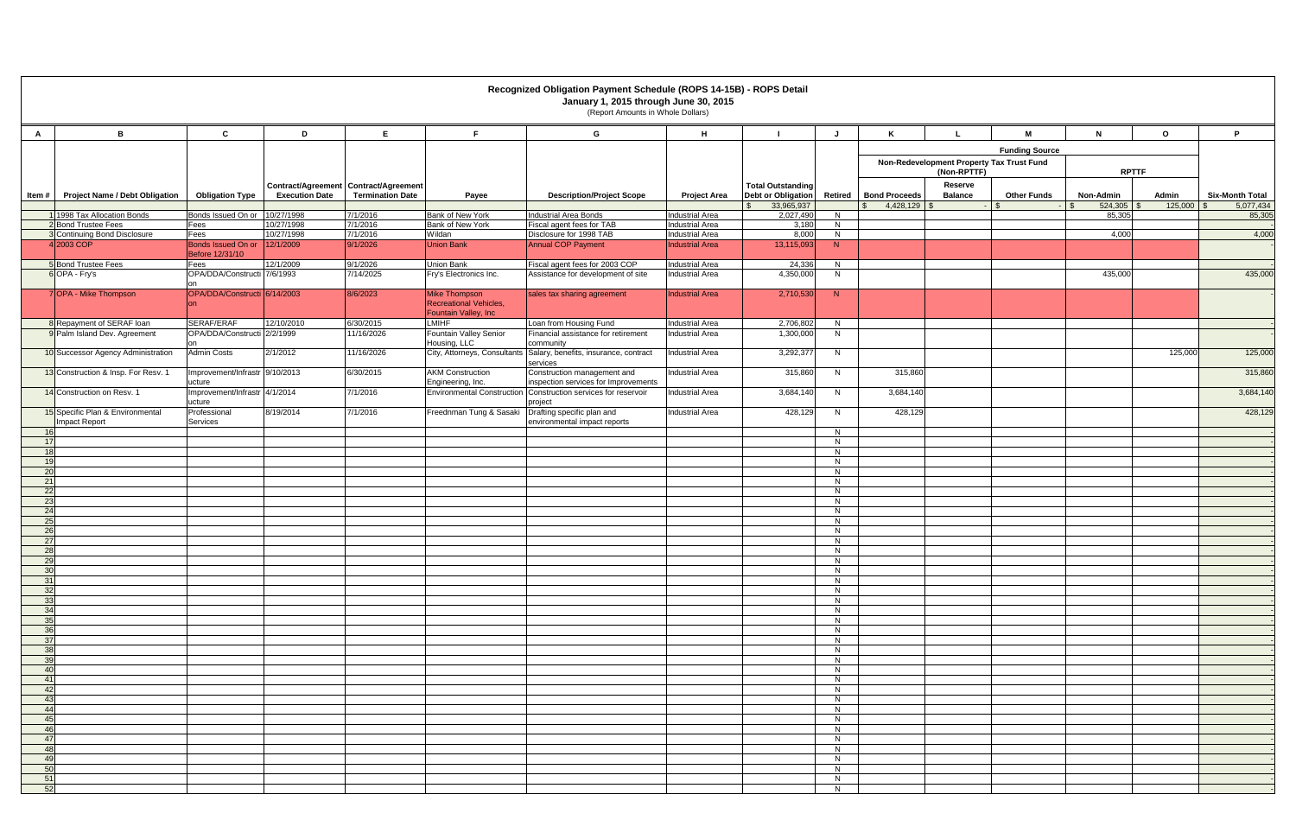|              | Recognized Obligation Payment Schedule (ROPS 14-15B) - ROPS Detail<br>January 1, 2015 through June 30, 2015<br>(Report Amounts in Whole Dollars) |                                           |                                                                |                         |                                                                               |                                                                           |                                                  |                                                              |                     |                                                             |                           |                            |                           |                  |                                     |
|--------------|--------------------------------------------------------------------------------------------------------------------------------------------------|-------------------------------------------|----------------------------------------------------------------|-------------------------|-------------------------------------------------------------------------------|---------------------------------------------------------------------------|--------------------------------------------------|--------------------------------------------------------------|---------------------|-------------------------------------------------------------|---------------------------|----------------------------|---------------------------|------------------|-------------------------------------|
| $\mathsf{A}$ | B                                                                                                                                                | $\mathbf{c}$                              | D                                                              | E                       | F.                                                                            | G                                                                         | H                                                |                                                              |                     | K                                                           |                           | M                          | N.                        | $\mathbf{o}$     | P.                                  |
|              |                                                                                                                                                  |                                           |                                                                |                         |                                                                               |                                                                           |                                                  |                                                              |                     |                                                             |                           | <b>Funding Source</b>      |                           |                  |                                     |
|              |                                                                                                                                                  |                                           |                                                                |                         |                                                                               |                                                                           |                                                  |                                                              |                     | Non-Redevelopment Property Tax Trust Fund                   | (Non-RPTTF)               |                            | <b>RPTTF</b>              |                  |                                     |
|              | Item # Project Name / Debt Obligation                                                                                                            | <b>Obligation Type</b>                    | Contract/Agreement Contract/Agreement<br><b>Execution Date</b> | <b>Termination Date</b> | Payee                                                                         | <b>Description/Project Scope</b>                                          | <b>Project Area</b>                              | <b>Total Outstanding</b><br>Debt or Obligation<br>33,965,937 |                     | Retired   Bond Proceeds<br>$4,428,129$ \$<br>$\mathbb{S}^-$ | Reserve<br><b>Balance</b> | <b>Other Funds</b><br>- \$ | Non-Admin<br>$524,305$ \$ | Admin<br>125,000 | <b>Six-Month Total</b><br>5,077,434 |
|              | 1998 Tax Allocation Bonds                                                                                                                        | Bonds Issued On or 10/27/1998             |                                                                | 7/1/2016                | <b>Bank of New York</b>                                                       | Industrial Area Bonds                                                     | <b>Industrial Area</b>                           | 2,027,490                                                    | N                   |                                                             |                           |                            | 85,305                    |                  | 85,305                              |
|              | 2 Bond Trustee Fees<br>3 Continuing Bond Disclosure                                                                                              | Fees<br>Fees                              | 10/27/1998<br>10/27/1998                                       | 7/1/2016<br>7/1/2016    | Bank of New York<br>Wildan                                                    | Fiscal agent fees for TAB<br>Disclosure for 1998 TAB                      | <b>Industrial Area</b><br><b>Industrial Area</b> | 3,180<br>8,000                                               | N                   |                                                             |                           |                            | 4,000                     |                  | 4,000                               |
|              | 4 2003 COP                                                                                                                                       | Bonds Issued On or<br>Before 12/31/10     | 12/1/2009                                                      | 9/1/2026                | <b>Union Bank</b>                                                             | <b>Annual COP Payment</b>                                                 | <b>Industrial Area</b>                           | 13,115,093                                                   | N<br>N              |                                                             |                           |                            |                           |                  |                                     |
|              | 5 Bond Trustee Fees                                                                                                                              | Fees                                      | 12/1/2009                                                      | 9/1/2026                | <b>Union Bank</b>                                                             | Fiscal agent fees for 2003 COP                                            | <b>Industrial Area</b>                           | 24,336                                                       | N                   |                                                             |                           |                            |                           |                  |                                     |
|              | 6 OPA - Fry's                                                                                                                                    | OPA/DDA/Constructi 7/6/1993               |                                                                | 7/14/2025               | Fry's Electronics Inc.                                                        | Assistance for development of site                                        | <b>Industrial Area</b>                           | 4,350,000                                                    | N                   |                                                             |                           |                            | 435,000                   |                  | 435,000                             |
|              | 7 OPA - Mike Thompson                                                                                                                            | OPA/DDA/Constructi 6/14/2003<br><b>on</b> |                                                                | 8/6/2023                | <b>Mike Thompson</b><br><b>Recreational Vehicles,</b><br>Fountain Valley, Inc | sales tax sharing agreement                                               | <b>Industrial Area</b>                           | 2,710,530                                                    | N                   |                                                             |                           |                            |                           |                  |                                     |
|              | 8 Repayment of SERAF loan                                                                                                                        | SERAF/ERAF                                | 12/10/2010                                                     | 6/30/2015               | <b>LMIHF</b>                                                                  | Loan from Housing Fund                                                    | <b>Industrial Area</b>                           | 2,706,802                                                    | N.                  |                                                             |                           |                            |                           |                  |                                     |
|              | 9 Palm Island Dev. Agreement                                                                                                                     | OPA/DDA/Constructi 2/2/1999<br>n          |                                                                | 11/16/2026              | Fountain Valley Senior<br>Housing, LLC                                        | Financial assistance for retirement<br>community                          | <b>Industrial Area</b>                           | 1,300,000                                                    | N                   |                                                             |                           |                            |                           |                  |                                     |
|              | 10 Successor Agency Administration                                                                                                               | <b>Admin Costs</b>                        | 2/1/2012                                                       | 11/16/2026              | City, Attorneys, Consultants                                                  | Salary, benefits, insurance, contract<br>services                         | <b>Industrial Area</b>                           | 3,292,377                                                    | N.                  |                                                             |                           |                            |                           | 125,000          | 125,000                             |
|              | 13 Construction & Insp. For Resv. 1                                                                                                              | Improvement/Infrastr 9/10/2013<br>ucture  |                                                                | 6/30/2015               | <b>AKM Construction</b><br>Engineering, Inc.                                  | Construction management and<br>inspection services for Improvements       | <b>Industrial Area</b>                           | 315,860                                                      | N                   | 315,860                                                     |                           |                            |                           |                  | 315,860                             |
|              | 14 Construction on Resv. 1                                                                                                                       | Improvement/Infrastr 4/1/2014<br>ucture   |                                                                | 7/1/2016                |                                                                               | Environmental Construction Construction services for reservoir<br>project | <b>Industrial Area</b>                           | 3,684,140                                                    | N                   | 3,684,140                                                   |                           |                            |                           |                  | 3,684,140                           |
|              | 15 Specific Plan & Environmental<br>Impact Report                                                                                                | Professional<br>Services                  | 8/19/2014                                                      | 7/1/2016                | Freednman Tung & Sasaki                                                       | Drafting specific plan and<br>environmental impact reports                | <b>Industrial Area</b>                           | 428,129                                                      | 428,129<br>N.       |                                                             |                           |                            |                           | 428,129          |                                     |
| 16<br>17     |                                                                                                                                                  |                                           |                                                                |                         |                                                                               |                                                                           |                                                  |                                                              | N<br>N              |                                                             |                           |                            |                           |                  |                                     |
| 18           |                                                                                                                                                  |                                           |                                                                |                         |                                                                               |                                                                           |                                                  |                                                              | N                   |                                                             |                           |                            |                           |                  |                                     |
| 19           |                                                                                                                                                  |                                           |                                                                |                         |                                                                               |                                                                           |                                                  |                                                              | N                   |                                                             |                           |                            |                           |                  |                                     |
| 20<br>21     |                                                                                                                                                  |                                           |                                                                |                         |                                                                               |                                                                           |                                                  |                                                              | N<br>N              |                                                             |                           |                            |                           |                  |                                     |
| 22           |                                                                                                                                                  |                                           |                                                                |                         |                                                                               |                                                                           |                                                  |                                                              | N                   |                                                             |                           |                            |                           |                  |                                     |
| 23<br>24     |                                                                                                                                                  |                                           |                                                                |                         |                                                                               |                                                                           |                                                  |                                                              | N<br>N              |                                                             |                           |                            |                           |                  |                                     |
| 25           |                                                                                                                                                  |                                           |                                                                |                         |                                                                               |                                                                           |                                                  |                                                              | N                   |                                                             |                           |                            |                           |                  |                                     |
| 26           |                                                                                                                                                  |                                           |                                                                |                         |                                                                               |                                                                           |                                                  |                                                              | N                   |                                                             |                           |                            |                           |                  |                                     |
| 27<br>28     |                                                                                                                                                  |                                           |                                                                |                         |                                                                               |                                                                           |                                                  |                                                              | N<br>$\overline{N}$ |                                                             |                           |                            |                           |                  |                                     |
| 29           |                                                                                                                                                  |                                           |                                                                |                         |                                                                               |                                                                           |                                                  |                                                              | N                   |                                                             |                           |                            |                           |                  |                                     |
| 30<br>31     |                                                                                                                                                  |                                           |                                                                |                         |                                                                               |                                                                           |                                                  |                                                              | N<br>N              |                                                             |                           |                            |                           |                  |                                     |
| 32           |                                                                                                                                                  |                                           |                                                                |                         |                                                                               |                                                                           |                                                  |                                                              | N                   |                                                             |                           |                            |                           |                  |                                     |
| 33           |                                                                                                                                                  |                                           |                                                                |                         |                                                                               |                                                                           |                                                  |                                                              | N                   |                                                             |                           |                            |                           |                  |                                     |
| 34<br>35     |                                                                                                                                                  |                                           |                                                                |                         |                                                                               |                                                                           |                                                  |                                                              | N<br>N              |                                                             |                           |                            |                           |                  |                                     |
| 36           |                                                                                                                                                  |                                           |                                                                |                         |                                                                               |                                                                           |                                                  |                                                              | N                   |                                                             |                           |                            |                           |                  |                                     |
| 37<br>38     |                                                                                                                                                  |                                           |                                                                |                         |                                                                               |                                                                           |                                                  |                                                              | N<br>N              |                                                             |                           |                            |                           |                  |                                     |
| 39           |                                                                                                                                                  |                                           |                                                                |                         |                                                                               |                                                                           |                                                  |                                                              | N                   |                                                             |                           |                            |                           |                  |                                     |
| 40           |                                                                                                                                                  |                                           |                                                                |                         |                                                                               |                                                                           |                                                  |                                                              | N<br>N              |                                                             |                           |                            |                           |                  |                                     |
| 41<br>42     |                                                                                                                                                  |                                           |                                                                |                         |                                                                               |                                                                           |                                                  |                                                              | N                   |                                                             |                           |                            |                           |                  |                                     |
| 43           |                                                                                                                                                  |                                           |                                                                |                         |                                                                               |                                                                           |                                                  |                                                              | N                   |                                                             |                           |                            |                           |                  |                                     |
| 44<br>45     |                                                                                                                                                  |                                           |                                                                |                         |                                                                               |                                                                           |                                                  | N<br>N                                                       |                     |                                                             |                           |                            |                           |                  |                                     |
| 46           |                                                                                                                                                  |                                           |                                                                |                         |                                                                               |                                                                           |                                                  |                                                              | N                   |                                                             |                           |                            |                           |                  |                                     |
| 47<br>48     |                                                                                                                                                  |                                           |                                                                |                         |                                                                               |                                                                           |                                                  |                                                              | N<br>N              |                                                             |                           |                            |                           |                  |                                     |
| 49           |                                                                                                                                                  |                                           |                                                                |                         |                                                                               |                                                                           |                                                  |                                                              | N                   |                                                             |                           |                            |                           |                  |                                     |
| 50           |                                                                                                                                                  |                                           |                                                                |                         |                                                                               |                                                                           |                                                  |                                                              | N                   |                                                             |                           |                            |                           |                  |                                     |
| 51<br>52     |                                                                                                                                                  |                                           |                                                                |                         |                                                                               |                                                                           |                                                  |                                                              | N<br>N              |                                                             |                           |                            |                           |                  |                                     |
|              |                                                                                                                                                  |                                           |                                                                |                         |                                                                               |                                                                           |                                                  |                                                              |                     |                                                             |                           |                            |                           |                  |                                     |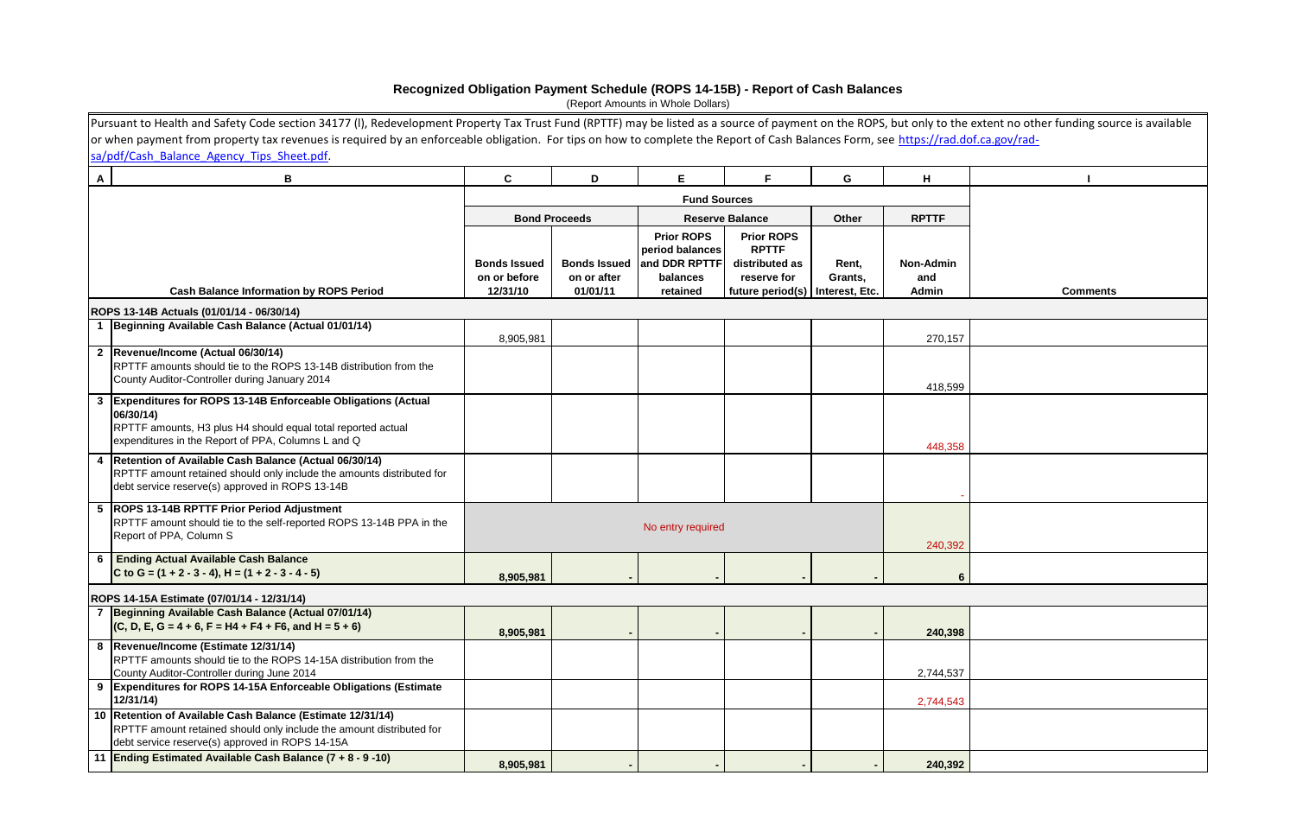|              | Pursuant to Health and Safety Code section 34177 (I), Redevelopment Property Tax Trust Fund (RPTTF) may be listed as a source of payment on the ROPS, but only to the extent no other funding source is available |                     |                      |                     |                        |                |                  |                 |  |  |  |  |
|--------------|-------------------------------------------------------------------------------------------------------------------------------------------------------------------------------------------------------------------|---------------------|----------------------|---------------------|------------------------|----------------|------------------|-----------------|--|--|--|--|
|              | or when payment from property tax revenues is required by an enforceable obligation. For tips on how to complete the Report of Cash Balances Form, see https://rad.dof.ca.gov/rad-                                |                     |                      |                     |                        |                |                  |                 |  |  |  |  |
|              | sa/pdf/Cash Balance Agency Tips Sheet.pdf.                                                                                                                                                                        |                     |                      |                     |                        |                |                  |                 |  |  |  |  |
| $\mathsf{A}$ | В                                                                                                                                                                                                                 | C                   | D                    | E.                  | E                      | G              | н                |                 |  |  |  |  |
|              |                                                                                                                                                                                                                   |                     |                      | <b>Fund Sources</b> |                        |                |                  |                 |  |  |  |  |
|              |                                                                                                                                                                                                                   |                     | <b>Bond Proceeds</b> |                     | <b>Reserve Balance</b> | Other          | <b>RPTTF</b>     |                 |  |  |  |  |
|              |                                                                                                                                                                                                                   |                     |                      | <b>Prior ROPS</b>   | <b>Prior ROPS</b>      |                |                  |                 |  |  |  |  |
|              |                                                                                                                                                                                                                   |                     |                      | period balances     | <b>RPTTF</b>           |                |                  |                 |  |  |  |  |
|              |                                                                                                                                                                                                                   | <b>Bonds Issued</b> | <b>Bonds Issued</b>  | and DDR RPTTF       | distributed as         | Rent,          | <b>Non-Admin</b> |                 |  |  |  |  |
|              |                                                                                                                                                                                                                   | on or before        | on or after          | balances            | reserve for            | Grants,        | and              |                 |  |  |  |  |
|              | <b>Cash Balance Information by ROPS Period</b>                                                                                                                                                                    | 12/31/10            | 01/01/11             | retained            | future period(s)       | Interest, Etc. | Admin            | <b>Comments</b> |  |  |  |  |
|              | ROPS 13-14B Actuals (01/01/14 - 06/30/14)                                                                                                                                                                         |                     |                      |                     |                        |                |                  |                 |  |  |  |  |
|              | Beginning Available Cash Balance (Actual 01/01/14)                                                                                                                                                                |                     |                      |                     |                        |                |                  |                 |  |  |  |  |
|              | 2  Revenue/Income (Actual 06/30/14)                                                                                                                                                                               | 8,905,981           |                      |                     |                        |                | 270,157          |                 |  |  |  |  |
|              | RPTTF amounts should tie to the ROPS 13-14B distribution from the                                                                                                                                                 |                     |                      |                     |                        |                |                  |                 |  |  |  |  |
|              | County Auditor-Controller during January 2014                                                                                                                                                                     |                     |                      |                     |                        |                |                  |                 |  |  |  |  |
|              | 3 Expenditures for ROPS 13-14B Enforceable Obligations (Actual                                                                                                                                                    |                     |                      |                     |                        |                | 418,599          |                 |  |  |  |  |
|              | 06/30/14)                                                                                                                                                                                                         |                     |                      |                     |                        |                |                  |                 |  |  |  |  |
|              | RPTTF amounts, H3 plus H4 should equal total reported actual                                                                                                                                                      |                     |                      |                     |                        |                |                  |                 |  |  |  |  |
|              | expenditures in the Report of PPA, Columns L and Q                                                                                                                                                                |                     |                      |                     |                        |                | 448,358          |                 |  |  |  |  |
|              | 4   Retention of Available Cash Balance (Actual 06/30/14)                                                                                                                                                         |                     |                      |                     |                        |                |                  |                 |  |  |  |  |
|              | RPTTF amount retained should only include the amounts distributed for                                                                                                                                             |                     |                      |                     |                        |                |                  |                 |  |  |  |  |
|              | debt service reserve(s) approved in ROPS 13-14B                                                                                                                                                                   |                     |                      |                     |                        |                |                  |                 |  |  |  |  |
|              | 5  ROPS 13-14B RPTTF Prior Period Adjustment                                                                                                                                                                      |                     |                      |                     |                        |                |                  |                 |  |  |  |  |
|              | RPTTF amount should tie to the self-reported ROPS 13-14B PPA in the                                                                                                                                               |                     |                      | No entry required   |                        |                |                  |                 |  |  |  |  |
|              | Report of PPA, Column S                                                                                                                                                                                           |                     |                      |                     |                        |                | 240,392          |                 |  |  |  |  |
|              | 6 Ending Actual Available Cash Balance                                                                                                                                                                            |                     |                      |                     |                        |                |                  |                 |  |  |  |  |
|              | C to G = $(1 + 2 - 3 - 4)$ , H = $(1 + 2 - 3 - 4 - 5)$                                                                                                                                                            | 8,905,981           |                      |                     |                        |                | 6                |                 |  |  |  |  |
|              | ROPS 14-15A Estimate (07/01/14 - 12/31/14)                                                                                                                                                                        |                     |                      |                     |                        |                |                  |                 |  |  |  |  |
|              | 7 Beginning Available Cash Balance (Actual 07/01/14)                                                                                                                                                              |                     |                      |                     |                        |                |                  |                 |  |  |  |  |
|              | $(C, D, E, G = 4 + 6, F = H4 + F4 + F6, and H = 5 + 6)$                                                                                                                                                           | 8,905,981           |                      |                     |                        |                | 240,398          |                 |  |  |  |  |
|              | 8  Revenue/Income (Estimate 12/31/14)                                                                                                                                                                             |                     |                      |                     |                        |                |                  |                 |  |  |  |  |
|              | RPTTF amounts should tie to the ROPS 14-15A distribution from the                                                                                                                                                 |                     |                      |                     |                        |                |                  |                 |  |  |  |  |
|              | County Auditor-Controller during June 2014<br>9 Expenditures for ROPS 14-15A Enforceable Obligations (Estimate                                                                                                    |                     |                      |                     |                        |                | 2,744,537        |                 |  |  |  |  |
|              | 12/31/14)                                                                                                                                                                                                         |                     |                      |                     |                        |                | 2,744,543        |                 |  |  |  |  |
|              | 10 Retention of Available Cash Balance (Estimate 12/31/14)                                                                                                                                                        |                     |                      |                     |                        |                |                  |                 |  |  |  |  |
|              | RPTTF amount retained should only include the amount distributed for                                                                                                                                              |                     |                      |                     |                        |                |                  |                 |  |  |  |  |
|              | debt service reserve(s) approved in ROPS 14-15A                                                                                                                                                                   |                     |                      |                     |                        |                |                  |                 |  |  |  |  |
|              | 11 Ending Estimated Available Cash Balance (7 + 8 - 9 -10)                                                                                                                                                        | 8,905,981           |                      |                     |                        |                | 240,392          |                 |  |  |  |  |

## **Recognized Obligation Payment Schedule (ROPS 14-15B) - Report of Cash Balances**

(Report Amounts in Whole Dollars)